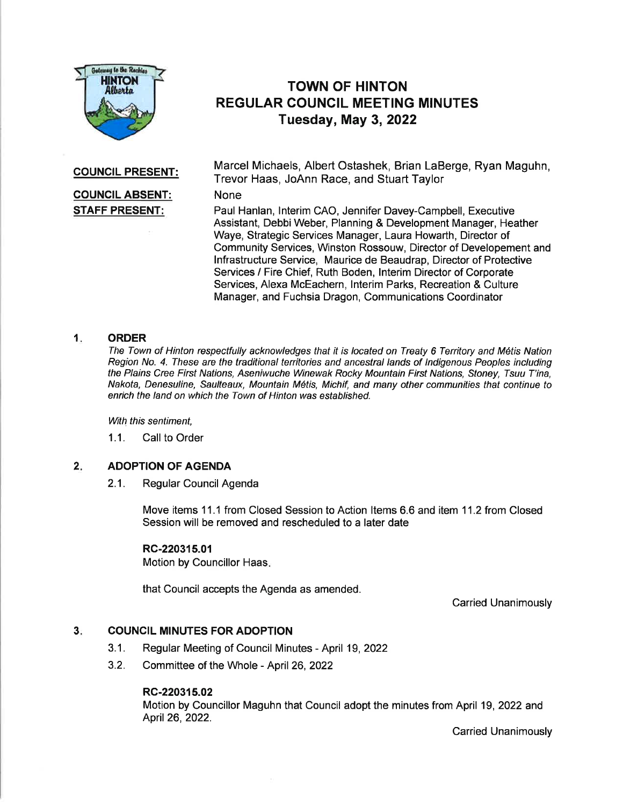

# TOWN OF HINTON REGULAR COUNCIL MEETING MINUTES Tuesday, May 3, 2022

# COUNGIL PRESENT:

# COUNCIL ABSENT: STAFF PRESENT:

Marcel Michaels, Albert Ostashek, Brian LaBerge, Ryan Maguhn, Trevor Haas, JoAnn Race, and Stuart Taylor

## None

Paul Hanlan, lnterim CAO, Jennifer Davey-Campbell, Executive Assistant, Debbi Weber, Planning & Development Manager, Heather Waye, Strategic Services Manager, Laura Howarth, Director of Community Services, Winston Rossouw, Director of Developement and lnfrastructure Service, Maurice de Beaudrap, Director of Protective Services / Fire Chief, Ruth Boden, lnterim Director of Corporate Services, Alexa McEachern, lnterim Parks, Recreation & Culture Manager, and Fuchsia Dragon, Communications Coordinator

### **ORDER** 1

The Town of Hinton respectfully acknowledges that it is located on Treaty 6 Territory and M6tis Nation Region No. 4. These are the traditional territories and ancestral lands of Indigenous Peoples including the Plains Cree First Nations, Aseniwuche Winewak Rocky Mountain First Nations, Stoney, Tsuu T'ina, Nakota, Denesuline, Saulteaux, Mountain M6tis, Michif, and many other communities that continue to enrich the land on which the Town of Hinton was established.

With this sentiment,

1.1. Call to Order

#### ADOPTION OF AGENDA  $2.$

2.1. Regular Council Agenda

Move items 11.1 from Closed Session to Action Items 6.6 and item 11.2 from Closed Session will be removed and rescheduled to a later date

# RC-220315.01

Motion by Councillor Haas.

that Council accepts the Agenda as amended.

Carried Unanimously

#### COUNGIL MINUTES FOR ADOPTION  $3.$

- 3.1 . Regular Meeting of Council Minutes April 19,2022
- 3.2. Committee of the Whole April 26,2022

### RC-220315.02

Motion by Councillor Maguhn that Council adopt the minutes from April 19,2022 and 4pri126,2022.

Carried Unanimously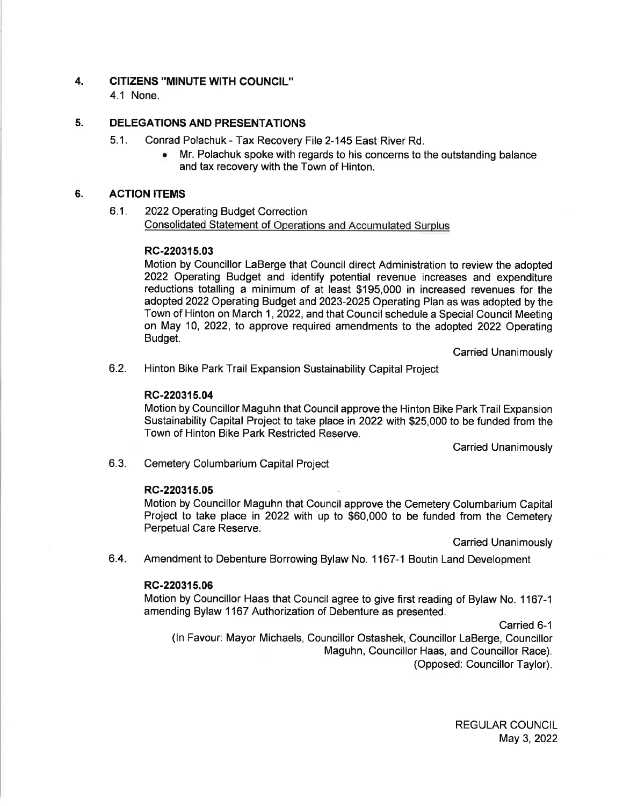#### 4. CITIZENS ''MINUTE WITH COUNCIL"

4.1 None.

#### 5. DELEGATIONS AND PRESENTATIONS

- 5.1. Conrad Polachuk Tax Recovery File 2-145 East River Rd.
	- . Mr. Polachuk spoke with regards to his concerns to the outstanding balance and tax recovery with the Town of Hinton.

#### ACTION ITEMS 6.

6.1. 2022Operating Budget Correction Consolidated Statement of Operations and Accumulated Surplus

# RC-220315.03

Motion by Councillor LaBerge that Council direct Administration to review the adopted 2022 Operating Budget and identify potential revenue increases and expenditure reductions totalling a minimum of at least \$195,000 in increased revenues for the adopted 2022 Operating Budget and 2023-2025 Operating Plan as was adopted by the Town of Hinton on March 1, 2022, and that Council schedule a Special Council Meeting on May 10, 2022, to approve required amendments to the adopted 2022 Operating Budget.

Carried Unanimously

6.2. Hinton Bike Park Trail Expansion Sustainability Capital Project

# RC-220315.04

Motion by Councillor Maguhn that Council approve the Hinton Bike ParkTrail Expansion Sustainability Capital Project to take place in 2022 with \$25,000 to be funded from the Town of Hinton Bike Park Restricted Reserve.

Carried Unanimously

6.3. Cemetery Columbarium Capital Project

# RC-220315.05

Motion by Councillor Maguhn that Council approve the Cemetery Columbarium Capital Project to take place in 2022 with up to \$60,000 to be funded from the Cemetery Perpetual Care Reserve.

Carried Unanimously

6.4. Amendment to Debenture Borrowing Bylaw No. 1167-1 Boutin Land Development

# RC-220315.06

Motion by Councillor Haas that Council agree to give first reading of Bylaw No. 1167-1 amending Bylaw 1167 Authorization of Debenture as presented.

Carried 6-1

(ln Favour: Mayor Michaels, Councillor Ostashek, Councillor LaBerge, Councillor Maguhn, Councillor Haas, and Councillor Race). (Opposed: Councillor Taylor).

> REGULAR COUNCIL May 3,2022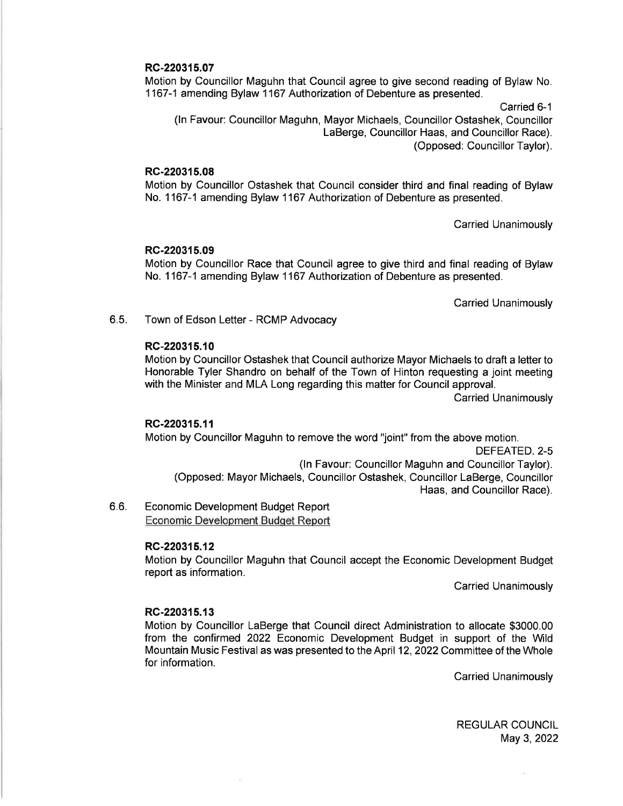### RC-220315.07

Motion by Councillor Maguhn that Council agree to give second reading of Bylaw No. 1167-1 amending Bylaw 1167 Authorization of Debenture as presented.

Carried 6-1 (ln Favour: Councillor Maguhn, Mayor Michaels, Councillor Ostashek, Councillor LaBerge, Councillor Haas, and Councillor Race). (Opposed: Councillor Taylor).

### RC-220315.08

Motion by Councillor Ostashek that Council consider third and final reading of Bylaw No. 1167-1 amending Bylaw 1167 Authorization of Debenture as presented.

Carried Unanimously

### RC-220315.09

Motion by Councillor Race that Council agree to give third and final reading of Bylaw No. 1167-1 amending Bylaw 1167 Authorization of Debenture as presented.

Carried Unanimously

6.5. Town of Edson Letter - RCMP Advocacy

### RC-220315.10

Motion by Councillor Ostashek that Council authorize Mayor Michaels to draft a letter to Honorable Tyler Shandro on behalf of the Town of Hinton requesting a joint meeting with the Minister and MLA Long regarding this matter for Council approval.

Carried Unanimously

### RC-220315.11

Motion by Councillor Maguhn to remove the word "joint" from the above motion. DEFEATED.2-5 (ln Favour: Councillor Maguhn and Councillor Taylor). (Opposed: Mayor Michaels, Councillor Ostashek, Councillor LaBerge, Councillor Haas, and Councillor Race).

 $6.6.$ Economic Development Budget Report Economic Development Budqet Report

### RC-220315.12

Motion by Councillor Maguhn that Council accept the Economic Development Budget report as information.

**Carried Unanimously** 

### RC-220315.13

Motion by Councillor LaBerge that Council direct Administration to allocate \$3000.00 from the confirmed 2022 Economic Development Budget in support of the Wild Mountain Music Festival as was presented to the April 12, 2022 Committee of the Whole for information.

Carried Unanimously

REGULAR COUNCIL May 3, 2022

ù.